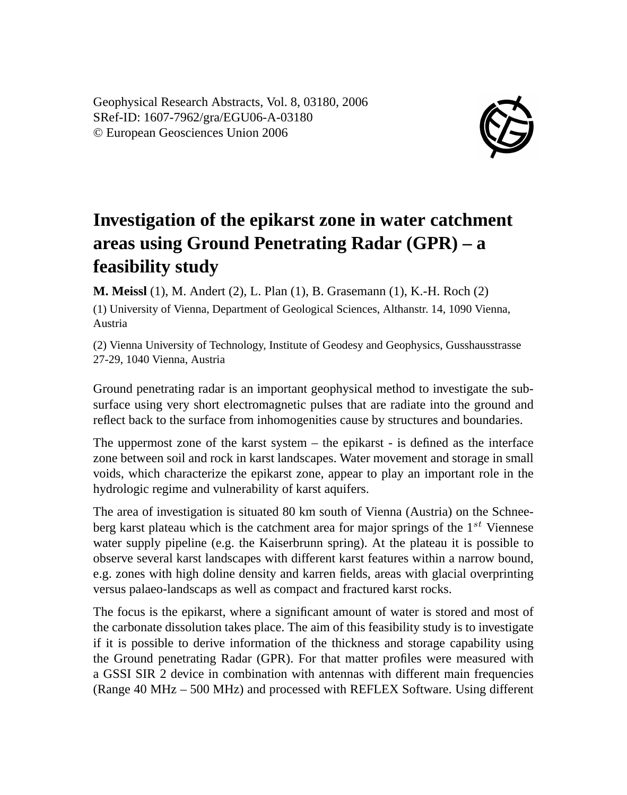Geophysical Research Abstracts, Vol. 8, 03180, 2006 SRef-ID: 1607-7962/gra/EGU06-A-03180 © European Geosciences Union 2006



## **Investigation of the epikarst zone in water catchment areas using Ground Penetrating Radar (GPR) – a feasibility study**

**M. Meissl** (1), M. Andert (2), L. Plan (1), B. Grasemann (1), K.-H. Roch (2)

(1) University of Vienna, Department of Geological Sciences, Althanstr. 14, 1090 Vienna, Austria

(2) Vienna University of Technology, Institute of Geodesy and Geophysics, Gusshausstrasse 27-29, 1040 Vienna, Austria

Ground penetrating radar is an important geophysical method to investigate the subsurface using very short electromagnetic pulses that are radiate into the ground and reflect back to the surface from inhomogenities cause by structures and boundaries.

The uppermost zone of the karst system – the epikarst - is defined as the interface zone between soil and rock in karst landscapes. Water movement and storage in small voids, which characterize the epikarst zone, appear to play an important role in the hydrologic regime and vulnerability of karst aquifers.

The area of investigation is situated 80 km south of Vienna (Austria) on the Schneeberg karst plateau which is the catchment area for major springs of the  $1^{st}$  Viennese water supply pipeline (e.g. the Kaiserbrunn spring). At the plateau it is possible to observe several karst landscapes with different karst features within a narrow bound, e.g. zones with high doline density and karren fields, areas with glacial overprinting versus palaeo-landscaps as well as compact and fractured karst rocks.

The focus is the epikarst, where a significant amount of water is stored and most of the carbonate dissolution takes place. The aim of this feasibility study is to investigate if it is possible to derive information of the thickness and storage capability using the Ground penetrating Radar (GPR). For that matter profiles were measured with a GSSI SIR 2 device in combination with antennas with different main frequencies (Range 40 MHz – 500 MHz) and processed with REFLEX Software. Using different